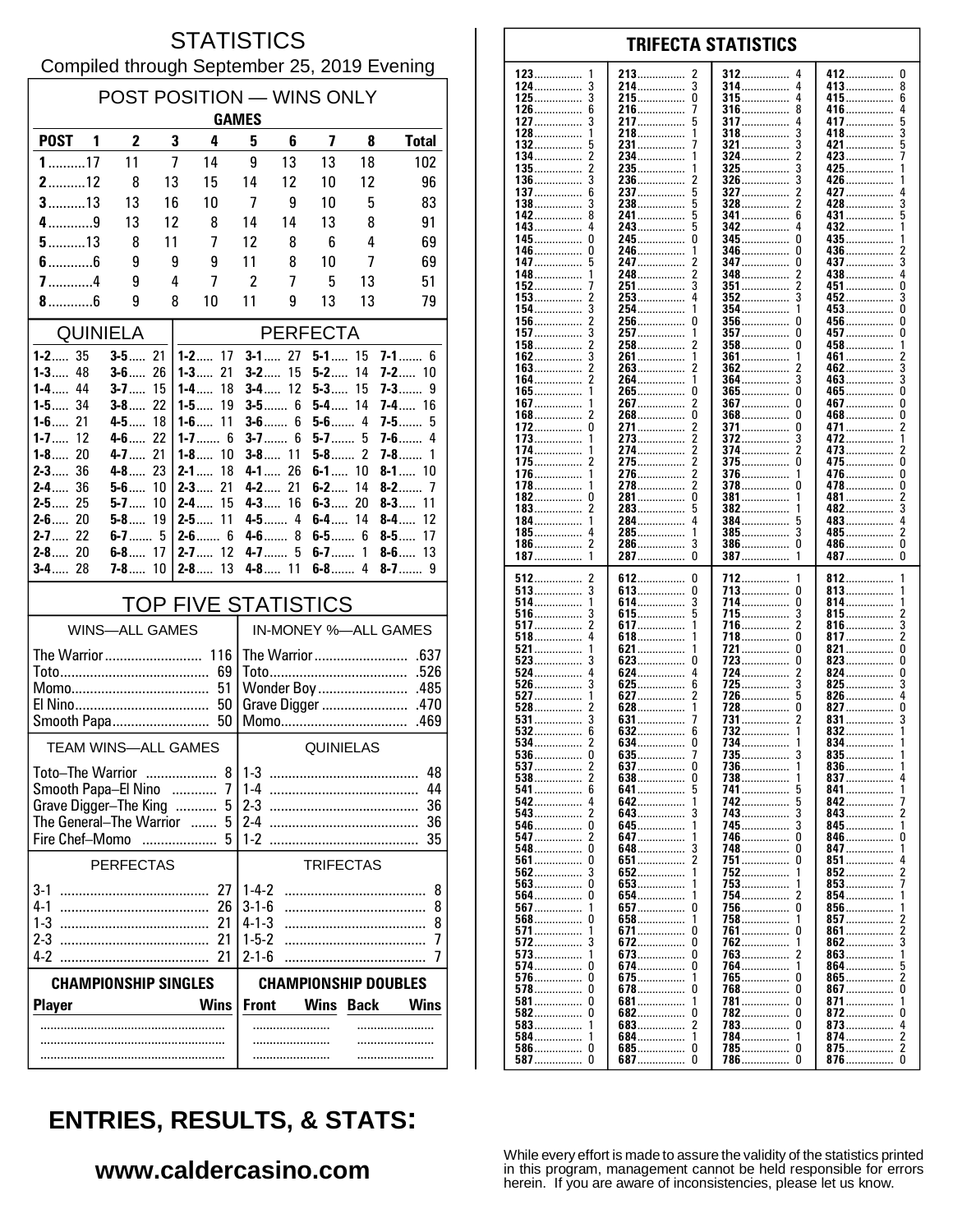#### **STATISTICS** Compiled through September 25, 2019 Evening

| POST POSITION - WINS ONLY                                  |                          |          |                                |                                                          |                        |                      |        |                          |  |
|------------------------------------------------------------|--------------------------|----------|--------------------------------|----------------------------------------------------------|------------------------|----------------------|--------|--------------------------|--|
| <b>GAMES</b>                                               |                          |          |                                |                                                          |                        |                      |        |                          |  |
| POST <sub>1</sub>                                          | $\overline{2}$           | 3        | 4                              | 5                                                        | 6                      | 7                    | 8      | <b>Total</b>             |  |
| $1$ 17                                                     | 11                       | 7        | 14                             | 9                                                        | 13                     | 13                   | 18     | 102                      |  |
| $2$ 12                                                     | 8                        | 13       | 15                             | 14                                                       | 12                     | 10                   | 12     | 96                       |  |
| $3$ 13                                                     | 13                       | 16       | 10                             | 7                                                        | 9                      | 10                   | 5      | 83                       |  |
| $4$ 9<br>$5$ 13                                            | 13                       | 12<br>11 | 8<br>7                         | 14<br>12                                                 | 14<br>8                | 13<br>6              | 8<br>4 | 91<br>69                 |  |
| $6$ 6                                                      | 8<br>9                   | 9        | 9                              | 11                                                       | 8                      | 10                   | 7      | 69                       |  |
| $7$ 4                                                      | 9                        | 4        | 7                              | 2                                                        | 7                      | 5                    | 13     | 51                       |  |
| $8$ 6                                                      | 9                        | 8        | 10                             | 11                                                       | 9                      | 13                   | 13     | 79                       |  |
| QUINIELA                                                   |                          |          |                                |                                                          |                        |                      |        |                          |  |
| $1 - 2$ 35                                                 | $3 - 5$ 21               |          | $1 - 2$ 17                     | <b>PERFECTA</b><br>$3 - 1$ 27<br>$5 - 1$ 15<br>$7 - 1$ 6 |                        |                      |        |                          |  |
| $1 - 3$ 48                                                 | $3 - 6$ 26               |          | $1 - 3$<br>21                  | $3 - 2$                                                  | 15                     | $5-2$                | 14     | <b>7-2</b> 10            |  |
| $1 - 4$ 44                                                 | $3-7$                    | -15      | 1-4……<br>18                    |                                                          | <b>3-4</b> 12          | $5-3$                | 15     | 7-3……<br>9               |  |
| $1 - 5$ 34                                                 | $3 - 8$ 22               |          | 19<br>$1 - 5$                  |                                                          | $3 - 5$ 6              | $5-4$                | 14     | $7 - 4$ 16               |  |
| $1 - 6$ 21<br>12<br>1-7……                                  | 4-5 18<br>$4 - 6$ 22     |          | $1 - 6$ 11<br>1-7 6            |                                                          | $3 - 6$ 6<br>$3 - 7$ 6 | $5-6$ 4<br>$5 - 7$ 5 |        | $7-5$<br>5<br>$7-6$<br>4 |  |
| $1 - 8$ 20                                                 | $4 - 7$ 21               |          | $1 - 8$<br>10                  |                                                          | $3 - 8$ 11             | $5 - 8$ 2            |        | 7-8……<br>1               |  |
| $2 - 3$ 36                                                 | $4 - 8$ $23$             |          | $2 - 1$<br>18                  | $4 - 1$                                                  | 26                     | $6 - 1$ 10           |        | $8 - 1$ 10               |  |
| 2-4 36<br>$2 - 5$ 25                                       | $5 - 6$ 10               |          | $2 - 3$<br>21<br>15<br>$2 - 4$ |                                                          | 4-2 21<br>$4 - 3$ 16   | $6 - 2$<br>$6-3$     | 14     | $8-2$<br>-7<br>$8 - 3$   |  |
| $2 - 6$ 20                                                 | $5 - 7$ 10<br>$5 - 8$ 19 |          | 11<br>$2 - 5$                  |                                                          | 4-5 4                  | $6 - 4$ 14           | 20     | 11<br>8-4….<br>12        |  |
| $2 - 7$ 22                                                 | $6 - 7$ 5                |          | $2 - 6$ 6                      |                                                          | $4-6$ 8                | $6 - 5$ 6            |        | $8 - 5$<br>17            |  |
| $2 - 8$ 20                                                 | $6 - 8$ 17               |          | $2 - 7$ 12                     |                                                          | 4-7<br>5               | $6 - 7$ 1            |        | $8-6$<br>13              |  |
| $3 - 4$ 28                                                 | $7 - 8$ 10               |          | $2 - 8$ 13                     |                                                          | $4 - 8$ 11             |                      |        |                          |  |
| <b>TOP FIVE STATISTICS</b>                                 |                          |          |                                |                                                          |                        |                      |        |                          |  |
|                                                            | <b>WINS-ALL GAMES</b>    |          |                                | IN-MONEY %-ALL GAMES                                     |                        |                      |        |                          |  |
| The Warrior 116                                            |                          |          |                                |                                                          |                        |                      |        |                          |  |
|                                                            |                          |          |                                |                                                          |                        |                      |        |                          |  |
| 51                                                         |                          |          |                                |                                                          |                        |                      |        |                          |  |
|                                                            |                          |          |                                |                                                          |                        |                      |        |                          |  |
| <b>TEAM WINS-ALL GAMES</b>                                 |                          |          |                                |                                                          | QUINIELAS              |                      |        |                          |  |
| Toto-The Warrior                                           |                          |          | 8                              | 48                                                       |                        |                      |        |                          |  |
| Smooth Papa-El Nino                                        |                          |          | 7<br>.                         | $1 - 3$<br>$1-4$<br>44                                   |                        |                      |        |                          |  |
| Grave Digger-The King                                      |                          |          | 5                              | $2-3$<br>36                                              |                        |                      |        |                          |  |
| The General-The Warrior                                    |                          |          | 5                              | $2-4$                                                    |                        |                      |        | 36                       |  |
| Fire Chef-Momo                                             |                          |          | 5                              | 1-2                                                      |                        |                      |        | 35                       |  |
|                                                            | <b>PERFECTAS</b>         |          |                                |                                                          |                        | <b>TRIFECTAS</b>     |        |                          |  |
| 3-1                                                        |                          |          | 27                             | $1-4-2$                                                  |                        |                      |        | 8                        |  |
| $4-1$                                                      |                          |          | 26                             | $3 - 1 - 6$                                              |                        |                      |        | 8                        |  |
| $1-3$<br>2-3                                               |                          |          | 21<br>21                       | $4 - 1 - 3$<br>$1 - 5 - 2$                               |                        |                      |        | 8<br>7                   |  |
| 4-2                                                        |                          |          | 21                             | $2 - 1 - 6$                                              |                        |                      |        | 7                        |  |
| <b>CHAMPIONSHIP SINGLES</b><br><b>CHAMPIONSHIP DOUBLES</b> |                          |          |                                |                                                          |                        |                      |        |                          |  |
| <b>Wins</b><br><b>Player</b>                               |                          |          |                                | Wins<br><b>Front</b><br><b>Back</b><br>Wins              |                        |                      |        |                          |  |
|                                                            |                          |          |                                |                                                          |                        |                      |        |                          |  |
|                                                            |                          |          |                                |                                                          |                        |                      |        |                          |  |
|                                                            |                          |          |                                |                                                          |                        |                      |        |                          |  |

#### **TRIFECTA STATISTICS** 123 213 412  $\mathbf{0}$ 2 312 124 3 214.  $\overline{3}$ 314 413 8 . . . . . . . . . . . . . . . . . . . . . . . . . . . . . . . . . . . . . . . . . . . . 3  $\pmb{0}$  $\overline{4}$  $\boldsymbol{6}$ 125 215 315 415. . . . . . . . . . . . . . . . . . . . . . . . . . . . . . . . . . . . . . . . . . . . . . . . ......... 126 6 216  $\overline{1}$ 316 8 416 4 .............. . . . . . . . . . . . . . . . 127 3 217 5 317 4 417 5 . . . . . . . . . . . . . . . . . . . . . . . . . . . . . . . . . . . . . 128 218 318 3 418 3 1 1 3 132 231................ 321  $421$ 5 134  $\overline{2}$  $\overline{\phantom{a}}$ 234. 324 423 . . . . . . . . . . . . . . . 135 235. 325 3 425 . . . . . . . . . . . . . . . 136 3 236 326 3 426  $\overline{c}$ . . . . . . . . . . . . . . . . . . . . . . . . . . . . . . . . . . . . . . . . . . . . . 137 6 237 5 327 2 427 . . . . . . . . . . . . . . 138 3 238 5 328 2 428 3 142  $\mathbf{a}$ 241................  $\overline{5}$ 341 6 431  $143.$ 5  $342$  $432$ .....  $\overline{a}$ . . . . . . . . . . . . . . . Ō  $345$  $\mathbf{0}$ 245  $\mathbf{0}$ 435 145 346 0 0 146 246  $\frac{1}{2}$ 436 . . . . . . . . . . . . . . . . . . . . . . . . . . . . . . . . . . . . . . . . . 147 5 247 347  $\Omega$ 437 3 . . . . . . . . . . . . . . . . . . . . . . . . . . . . . . . . . . . . . . . . . . 148 248  $\overline{c}$ 348 438 4 2 . . . . . . . . . . . . . . . .............. 152 251 3 351 2 451 0 . . . . . . . . . . . . . . . . . . . . . . . 153  $\overline{2}$ 253  $\overline{4}$ 352 3 452 3  $\overline{3}$ ň 154 254  $453...$ 1 354 1 156.  $\overline{2}$  $\mathbf 0$  $\mathbf 0$ 256 356  $\Omega$  $456...$ ŏ 157 3 257. 357 457 . . . . . . . . . . . . . . . . . . . . . . . . . . . . 458...............  $\overline{c}$ 2 158 258 358  $\Omega$ . . . . . . . . . . . . . . . .............. . . . . . . . . . . . . . . . . 162 3 261 361 461 1 . . . . . . . . . . . . . . . . . . . . . . . . . . . . . 163  $\frac{2}{2}$ 263 2 362 462  $\mathbf{3}$ . . . . . . . . . . . . . . . . . . . . . . . . .  $\overline{3}$ 164 264 364 3 1 463. 265................. 165................  $\dot{0}$ ñ  $465$ ñ  $\overline{2}$  $\mathbf{0}$  $\mathbf 0$ 267 367  $467...$ 167. . . . . . . . . . . . . . . . . . . . . . . .  $\overline{0}$ Ō Ō 168 2 268 368 468 . . . . . . . . . . . . . . . . . . . . . . . . . . . . . . . . . . . . . . . . . . . . 172  $\mathbf 0$ 271.  $\boldsymbol{2}$ 371................ 0 471.....  $\boldsymbol{2}$ . . . . . . . . . . . . . . . 372 273  $\overline{2}$ 173 3 472 . . . . . . . . . . . . . . . . . . . . . . . . . . . . . . . . . . . . . . . . . . . . . 174 274  $\boldsymbol{2}$ 374 2 473  $\frac{2}{0}$ ............. . . . . . . . . . . . . . . . . . . . . . . . . . . . . .  $\overline{2}$ 175 2 275 375 <sup>0</sup> 475 ............. . . . . . . . . . . . . . . . . . . . . . . . . . . .  $\mathbf{0}$  $\overline{\phantom{a}}$ 376 176 1 276. 1 476.  $\overline{2}$ ŏ 278................  $\Omega$ 478 178. 378 182 281.................  $\pmb{0}$ 381  $\Omega$ 481 . . . . . . . . . . . . . . . . . . . . . . . . . . . . . . 382 3 183 283 5 482 . . . . . . . . . . . . . . . . . . . . . . . . . . . . . . . . . . . . . . . . . . . . 184 284 4 384 483 4 . . . . . . . . . . . . . . . ............... . . . . . . . . . . . . . . . 185 285  $\mathbf{1}$ 385 3 485  $\overline{\phantom{a}}$ 4 . . . . . . . . . . . . . . . . . . . . . . . . . . . . . . . . . . . . . . . . . . . . . . . . . . . . . . . . 186  $\overline{\phantom{a}}$ 286. 3 386  $\Omega$ 486................  $\Omega$ . . . . . . . . . . . . . . . . . . . . . . . . . . . . . . . . . . . . . . . . . . . .  $\tilde{0}$  $\tilde{0}$ 287................ 187  $\overline{1}$  $\mathbf{1}$ 512  $\boldsymbol{2}$ 612  $\pmb{0}$ 712 812 ............. 513 3  $\pmb{0}$ 713 813 . . . . . . . . . . . . . . . . . . . . . . . . . . . . . . . . . . . . . . . . . . . . . . . . 514 1 614 3 714 0 814 . . . . . . . . . . . . . . . . . . . . . . . . . . . . . . . . . . . . . . . . . . . . 516 3 615 -5 715 3 815  $\frac{2}{3}$ . . . . . . . . . . . . . . . . . . . . . . . . . . . . . . . . . . . . . .  $\frac{5}{2}$  $\bar{z}$ 517 617... 1 716. 816.  $518$  $\overline{4}$  $\theta$  $618$ ................ 718  $817...$ . . . . . . . . . . . . . . . . . . . . . . . . . . . . . . 521 ō 0 821 621 721 . . . . . . . . . . . . . . . . . . . .  $823$ 523 3 623  $\mathbf 0$ 723  $\theta$  $\pmb{0}$ . . . . . . . . . . . . . . . . . . . . . . . . . . . . . . . . . . . . . . . . . . . . . . 524 4 624  $\overline{4}$ 724 2 824  $\Omega$ . . . . . . . . . . . . . . . . . . . . . . . . . . . . . . . . . . . . . . . . . .  $725.726$ 526 3 625 6 3 825 3 . . . . . . . . . . . . . . 627 527  $\mathbf{1}$ 2 5 826 528  $\dot{2}$  $628$ .................  $728$ ................. Ō Ó  $827$  $\overline{3}$ 531 631 731 831 . . . . . . . . . . . . . . . . . . . . . . . . . . . . . . 532 6 632 6  $832...$ . . . . . . . . . . . . . . . . . . . . . . . . . . . . . 734 534  $\overline{2}$ 634. 0 834..... ............... . . . . . . . . . . . . . . .  $\frac{0}{2}$ 635 735 536 835 . . . . . . . . . . . . . . . . . . . . . . . . . . . . . . . . . . . . . . . . . . . . . . . . . . . . . . . . . . . -ó 537 637 736  $\mathbf{1}$ 836  $\overline{2}$ 738 837 538 638 0 . . . . . . . . . . . . . . . . . . . . 541 6  $641...$ 5 741 5 841 742................ 542 642. 5 842  $\overline{4}$ 1 543  $\overline{\mathbf{c}}$ 3 743 3 643 843 . . . . . . . . . . . . . 546  $\mathbf 0$ 645. 745 3 845 . . . . . . . . . . . . . . . . . . . . . . . . . . . . . . . . . . . . . . . . . . . . . 547  $\overline{\phantom{a}}$ 647 746  $\Omega$ 846  $\Omega$ . . . . . . . . . . . . . . . . . . . . . . . . . . . . . . . . . . . . . . . . . . . . 548  $\Omega$ 648 3 748  $\Omega$ 847 . . . . . . . . . . . . . . . . . . . . . . . . . . . . 561  $\Omega$ 651  $\overline{\phantom{a}}$ 751  $\Omega$ 851 852 562  $\mathbf{3}$ 652 752 1 563. Ō 653................. 753  $853$ . . . . . . . . . . . . . . . 564 Ō 654 754 854 . . . . . . . . . . . . . . . . . . . . . . . . . . . . 856....... 567 657  $\overline{0}$ 756 n . . . . . . . . . . . . . . . . . . . . . . . . . . . . . . . . . . . . . . . . . . . . . . 568  $\mathbf 0$ 658 1 758 1 857 . . . . . . . . . . . . . . . . . . . . . . . . . . 571 671  $\mathbf{0}$ 761 <sup>0</sup> 861  $\overline{2}$ . . . . . . . . . . . . . . . . . . . . . . . . . . . . . . 572 3 672 0 762 862 3 . . . . . . . . . . . . . . . . . . . . . . . . . 573  $\mathbf{1}$ 673  $\Omega$ 763 863 574 0 674.  $\mathbf 0$ 764 864  $\overline{2}$ 576 ................0 675 765  $\Omega$ 865.  $\mathbf{1}$ . . . . . . . . . . . . . 578  $\Omega$ 678  $\mathbf 0$ 768  $\theta$ 867  $\mathbf 0$ . . . . . . . . . . . . . . . . . . . . . . . . . . . . .  $581$ ................  $\pmb{0}$ 681 781  $\theta$ 871 . . . . . . . . . . . . . . . . . . . . . . . . . . . . . . . . . . . . . . . . . . . . . . . 582  $\Omega$ 682  $\Omega$ 782  $\Omega$ 872  $\Omega$ . . . . . . . . . . . . . . . . . . . . . . . . . . . . 583  $\mathbf{1}$ 683  $\overline{\phantom{a}}$ 783  $\Omega$ 873  $\frac{4}{2}$ . . . . . . . . . . . . . . . . . . . . . . . . . . . . . . . . . . . . . . . . . 584................ 684................ 784.  $874...$ 1  $\mathbf{1}$ 1

# **ENTRIES, RESULTS, & STATS:**

### www.caldercasino.com

While every effort is made to assure the validity of the statistics printed in this program, management cannot be held responsible for errors herein. If you are aware of inconsistencies, please let us know.

 $\overline{2}$ 

 $\overline{0}$ 

875................

876................

685................

687.

 $\mathbf 0$ 

 $\Omega$ 

 $785$ ................

786

 $\Omega$ 

 $\Omega$ 

586...............

587

 $\mathbf 0$ 

 $\pmb{0}$